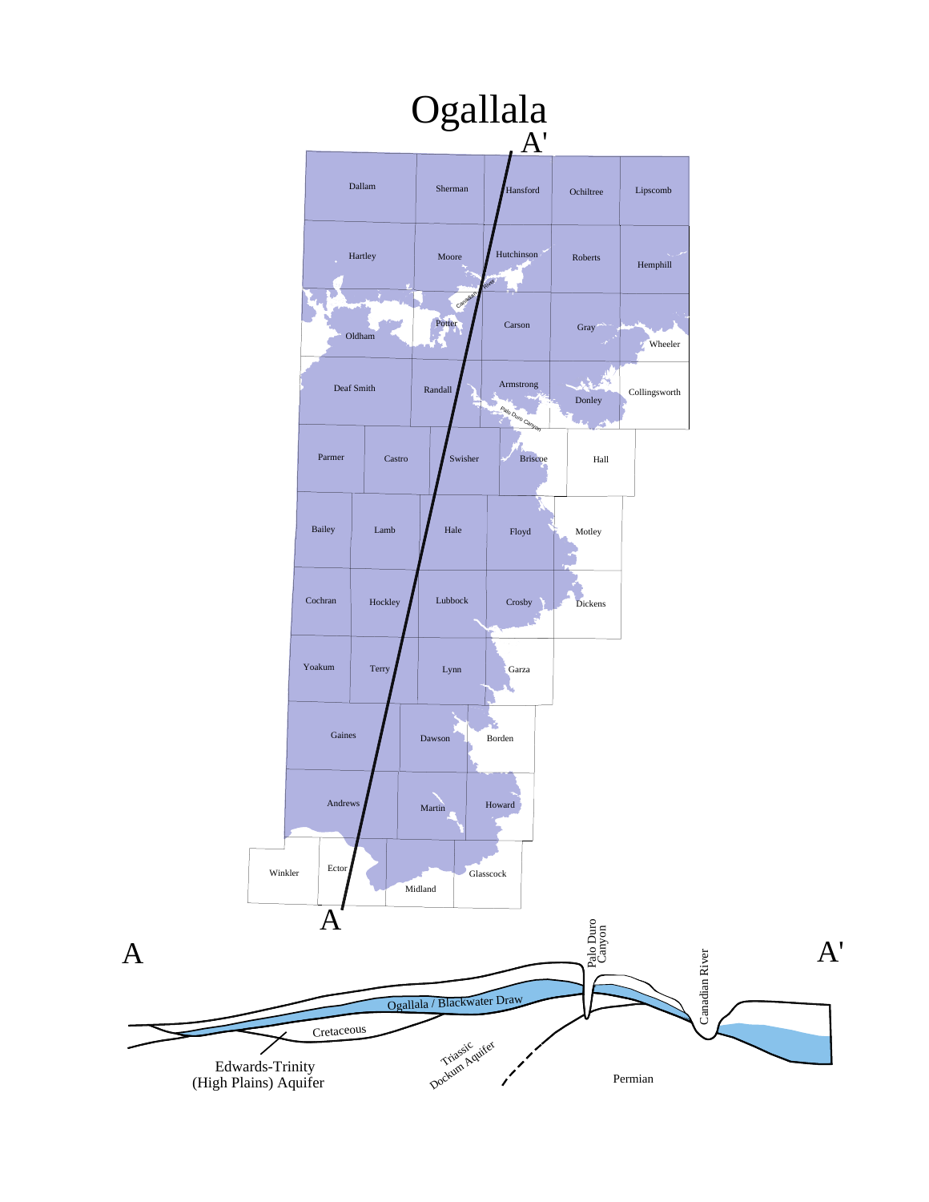